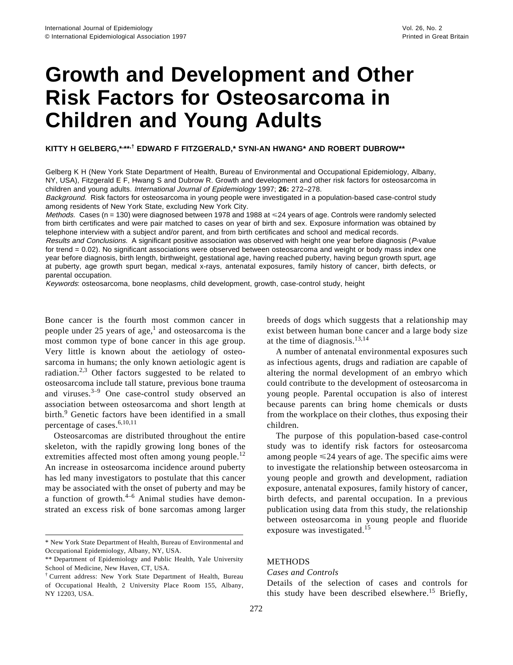# **Growth and Development and Other Risk Factors for Osteosarcoma in Children and Young Adults**

**KITTY H GELBERG,\*, \*\*,† EDWARD F FITZGERALD,\* SYNI-AN HWANG\* AND ROBERT DUBROW\*\***

Gelberg K H (New York State Department of Health, Bureau of Environmental and Occupational Epidemiology, Albany, NY, USA), Fitzgerald E F, Hwang S and Dubrow R. Growth and development and other risk factors for osteosarcoma in children and young adults. International Journal of Epidemiology 1997; **26:** 272–278.

Background. Risk factors for osteosarcoma in young people were investigated in a population-based case-control study among residents of New York State, excluding New York City.

Methods. Cases (n = 130) were diagnosed between 1978 and 1988 at <24 years of age. Controls were randomly selected from birth certificates and were pair matched to cases on year of birth and sex. Exposure information was obtained by telephone interview with a subject and/or parent, and from birth certificates and school and medical records.

Results and Conclusions. A significant positive association was observed with height one year before diagnosis (P-value for trend = 0.02). No significant associations were observed between osteosarcoma and weight or body mass index one year before diagnosis, birth length, birthweight, gestational age, having reached puberty, having begun growth spurt, age at puberty, age growth spurt began, medical x-rays, antenatal exposures, family history of cancer, birth defects, or parental occupation.

Keywords: osteosarcoma, bone neoplasms, child development, growth, case-control study, height

Bone cancer is the fourth most common cancer in people under 25 years of age, $\frac{1}{1}$  and osteosarcoma is the most common type of bone cancer in this age group. Very little is known about the aetiology of osteosarcoma in humans; the only known aetiologic agent is radiation.2,3 Other factors suggested to be related to osteosarcoma include tall stature, previous bone trauma and viruses.3–9 One case-control study observed an association between osteosarcoma and short length at birth.<sup>9</sup> Genetic factors have been identified in a small percentage of cases.<sup>6,10,11</sup>

Osteosarcomas are distributed throughout the entire skeleton, with the rapidly growing long bones of the extremities affected most often among young people.<sup>12</sup> An increase in osteosarcoma incidence around puberty has led many investigators to postulate that this cancer may be associated with the onset of puberty and may be a function of growth. $4-6$  Animal studies have demonstrated an excess risk of bone sarcomas among larger breeds of dogs which suggests that a relationship may exist between human bone cancer and a large body size at the time of diagnosis.13,14

A number of antenatal environmental exposures such as infectious agents, drugs and radiation are capable of altering the normal development of an embryo which could contribute to the development of osteosarcoma in young people. Parental occupation is also of interest because parents can bring home chemicals or dusts from the workplace on their clothes, thus exposing their children.

The purpose of this population-based case-control study was to identify risk factors for osteosarcoma among people  $\leq 24$  years of age. The specific aims were to investigate the relationship between osteosarcoma in young people and growth and development, radiation exposure, antenatal exposures, family history of cancer, birth defects, and parental occupation. In a previous publication using data from this study, the relationship between osteosarcoma in young people and fluoride exposure was investigated.<sup>15</sup>

# *Cases and Controls*

Details of the selection of cases and controls for this study have been described elsewhere.<sup>15</sup> Briefly,

<sup>\*</sup> New York State Department of Health, Bureau of Environmental and Occupational Epidemiology, Albany, NY, USA.

<sup>\*\*</sup> Department of Epidemiology and Public Health, Yale University School of Medicine, New Haven, CT, USA.

<sup>†</sup> Current address: New York State Department of Health, Bureau of Occupational Health, 2 University Place Room 155, Albany, NY 12203, USA.

**METHODS**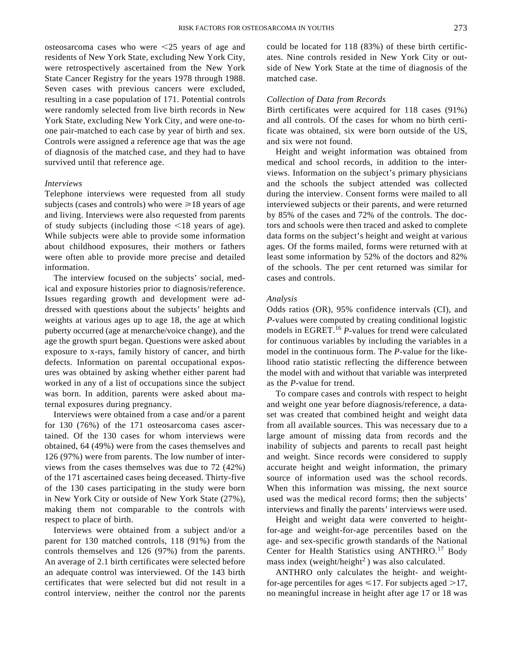osteosarcoma cases who were  $\leq 25$  years of age and residents of New York State, excluding New York City, were retrospectively ascertained from the New York State Cancer Registry for the years 1978 through 1988. Seven cases with previous cancers were excluded, resulting in a case population of 171. Potential controls were randomly selected from live birth records in New York State, excluding New York City, and were one-toone pair-matched to each case by year of birth and sex. Controls were assigned a reference age that was the age of diagnosis of the matched case, and they had to have survived until that reference age.

#### *Interviews*

Telephone interviews were requested from all study subjects (cases and controls) who were  $\geq 18$  years of age and living. Interviews were also requested from parents of study subjects (including those  $\leq$ 18 years of age). While subjects were able to provide some information about childhood exposures, their mothers or fathers were often able to provide more precise and detailed information.

The interview focused on the subjects' social, medical and exposure histories prior to diagnosis/reference. Issues regarding growth and development were addressed with questions about the subjects' heights and weights at various ages up to age 18, the age at which puberty occurred (age at menarche/voice change), and the age the growth spurt began. Questions were asked about exposure to x-rays, family history of cancer, and birth defects. Information on parental occupational exposures was obtained by asking whether either parent had worked in any of a list of occupations since the subject was born. In addition, parents were asked about maternal exposures during pregnancy.

Interviews were obtained from a case and/or a parent for 130 (76%) of the 171 osteosarcoma cases ascertained. Of the 130 cases for whom interviews were obtained, 64 (49%) were from the cases themselves and 126 (97%) were from parents. The low number of interviews from the cases themselves was due to 72 (42%) of the 171 ascertained cases being deceased. Thirty-five of the 130 cases participating in the study were born in New York City or outside of New York State (27%), making them not comparable to the controls with respect to place of birth.

Interviews were obtained from a subject and/or a parent for 130 matched controls, 118 (91%) from the controls themselves and 126 (97%) from the parents. An average of 2.1 birth certificates were selected before an adequate control was interviewed. Of the 143 birth certificates that were selected but did not result in a control interview, neither the control nor the parents could be located for 118 (83%) of these birth certificates. Nine controls resided in New York City or outside of New York State at the time of diagnosis of the matched case.

### *Collection of Data from Records*

Birth certificates were acquired for 118 cases (91%) and all controls. Of the cases for whom no birth certificate was obtained, six were born outside of the US, and six were not found.

Height and weight information was obtained from medical and school records, in addition to the interviews. Information on the subject's primary physicians and the schools the subject attended was collected during the interview. Consent forms were mailed to all interviewed subjects or their parents, and were returned by 85% of the cases and 72% of the controls. The doctors and schools were then traced and asked to complete data forms on the subject's height and weight at various ages. Of the forms mailed, forms were returned with at least some information by 52% of the doctors and 82% of the schools. The per cent returned was similar for cases and controls.

### *Analysis*

Odds ratios (OR), 95% confidence intervals (CI), and *P-*values were computed by creating conditional logistic models in EGRET.<sup>16</sup> *P-*values for trend were calculated for continuous variables by including the variables in a model in the continuous form. The *P-*value for the likelihood ratio statistic reflecting the difference between the model with and without that variable was interpreted as the *P-*value for trend.

To compare cases and controls with respect to height and weight one year before diagnosis/reference, a dataset was created that combined height and weight data from all available sources. This was necessary due to a large amount of missing data from records and the inability of subjects and parents to recall past height and weight. Since records were considered to supply accurate height and weight information, the primary source of information used was the school records. When this information was missing, the next source used was the medical record forms; then the subjects' interviews and finally the parents' interviews were used.

Height and weight data were converted to heightfor-age and weight-for-age percentiles based on the age- and sex-specific growth standards of the National Center for Health Statistics using ANTHRO.<sup>17</sup> Body mass index (weight/height<sup>2</sup>) was also calculated.

ANTHRO only calculates the height- and weightfor-age percentiles for ages  $\leq 17$ . For subjects aged  $>17$ , no meaningful increase in height after age 17 or 18 was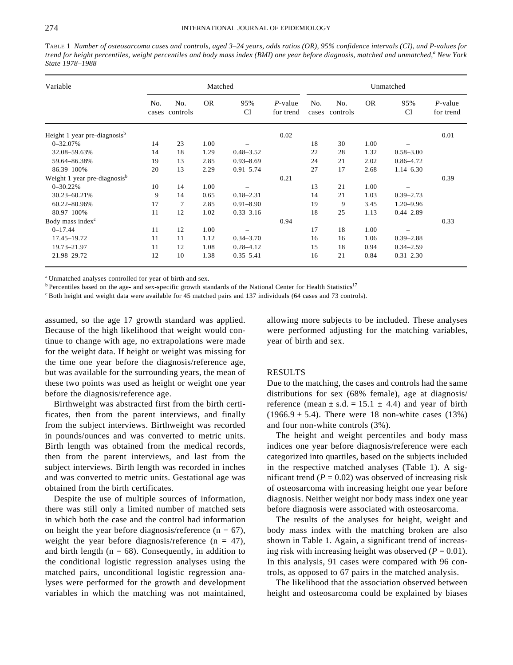TABLE 1 *Number of osteosarcoma cases and controls, aged 3–24 years, odds ratios (OR), 95% confidence intervals (CI), and P-values for trend for height percentiles, weight percentiles and body mass index (BMI) one year before diagnosis, matched and unmatched,<sup>a</sup> New York State 1978–1988*

| Variable                                 | Matched |                       |           |                  |                         |              | Unmatched       |           |                  |                         |  |
|------------------------------------------|---------|-----------------------|-----------|------------------|-------------------------|--------------|-----------------|-----------|------------------|-------------------------|--|
|                                          | No.     | No.<br>cases controls | <b>OR</b> | 95%<br><b>CI</b> | $P$ -value<br>for trend | No.<br>cases | No.<br>controls | <b>OR</b> | 95%<br><b>CI</b> | $P$ -value<br>for trend |  |
| Height 1 year pre-diagnosis <sup>b</sup> |         |                       |           |                  | 0.02                    |              |                 |           |                  | 0.01                    |  |
| $0 - 32.07%$                             | 14      | 23                    | 1.00      |                  |                         | 18           | 30              | 1.00      |                  |                         |  |
| 32.08-59.63%                             | 14      | 18                    | 1.29      | $0.48 - 3.52$    |                         | 22           | 28              | 1.32      | $0.58 - 3.00$    |                         |  |
| 59.64-86.38%                             | 19      | 13                    | 2.85      | $0.93 - 8.69$    |                         | 24           | 21              | 2.02      | $0.86 - 4.72$    |                         |  |
| 86.39-100%                               | 20      | 13                    | 2.29      | $0.91 - 5.74$    |                         | 27           | 17              | 2.68      | $1.14 - 6.30$    |                         |  |
| Weight 1 year pre-diagnosis <sup>b</sup> |         |                       |           |                  | 0.21                    |              |                 |           |                  | 0.39                    |  |
| $0 - 30.22%$                             | 10      | 14                    | 1.00      |                  |                         | 13           | 21              | 1.00      |                  |                         |  |
| 30.23-60.21%                             | 9       | 14                    | 0.65      | $0.18 - 2.31$    |                         | 14           | 21              | 1.03      | $0.39 - 2.73$    |                         |  |
| 60.22-80.96%                             | 17      | $\overline{7}$        | 2.85      | $0.91 - 8.90$    |                         | 19           | 9               | 3.45      | $1.20 - 9.96$    |                         |  |
| 80.97-100%                               | 11      | 12                    | 1.02      | $0.33 - 3.16$    |                         | 18           | 25              | 1.13      | $0.44 - 2.89$    |                         |  |
| Body mass index <sup>c</sup>             |         |                       |           |                  | 0.94                    |              |                 |           |                  | 0.33                    |  |
| $0 - 17.44$                              | 11      | 12                    | 1.00      |                  |                         | 17           | 18              | 1.00      |                  |                         |  |
| 17.45-19.72                              | 11      | 11                    | 1.12      | $0.34 - 3.70$    |                         | 16           | 16              | 1.06      | $0.39 - 2.88$    |                         |  |
| 19.73-21.97                              | 11      | 12                    | 1.08      | $0.28 - 4.12$    |                         | 15           | 18              | 0.94      | $0.34 - 2.59$    |                         |  |
| 21.98-29.72                              | 12      | 10                    | 1.38      | $0.35 - 5.41$    |                         | 16           | 21              | 0.84      | $0.31 - 2.30$    |                         |  |

<sup>a</sup> Unmatched analyses controlled for year of birth and sex.

<sup>b</sup> Percentiles based on the age- and sex-specific growth standards of the National Center for Health Statistics<sup>17</sup>

<sup>c</sup> Both height and weight data were available for 45 matched pairs and 137 individuals (64 cases and 73 controls).

assumed, so the age 17 growth standard was applied. Because of the high likelihood that weight would continue to change with age, no extrapolations were made for the weight data. If height or weight was missing for the time one year before the diagnosis/reference age, but was available for the surrounding years, the mean of these two points was used as height or weight one year before the diagnosis/reference age.

Birthweight was abstracted first from the birth certificates, then from the parent interviews, and finally from the subject interviews. Birthweight was recorded in pounds/ounces and was converted to metric units. Birth length was obtained from the medical records, then from the parent interviews, and last from the subject interviews. Birth length was recorded in inches and was converted to metric units. Gestational age was obtained from the birth certificates.

Despite the use of multiple sources of information, there was still only a limited number of matched sets in which both the case and the control had information on height the year before diagnosis/reference ( $n = 67$ ), weight the year before diagnosis/reference  $(n = 47)$ , and birth length ( $n = 68$ ). Consequently, in addition to the conditional logistic regression analyses using the matched pairs, unconditional logistic regression analyses were performed for the growth and development variables in which the matching was not maintained, allowing more subjects to be included. These analyses were performed adjusting for the matching variables, year of birth and sex.

# RESULTS

Due to the matching, the cases and controls had the same distributions for sex (68% female), age at diagnosis/ reference (mean  $\pm$  s.d. = 15.1  $\pm$  4.4) and year of birth  $(1966.9 \pm 5.4)$ . There were 18 non-white cases  $(13\%)$ and four non-white controls (3%).

The height and weight percentiles and body mass indices one year before diagnosis/reference were each categorized into quartiles, based on the subjects included in the respective matched analyses (Table 1). A significant trend  $(P = 0.02)$  was observed of increasing risk of osteosarcoma with increasing height one year before diagnosis. Neither weight nor body mass index one year before diagnosis were associated with osteosarcoma.

The results of the analyses for height, weight and body mass index with the matching broken are also shown in Table 1. Again, a significant trend of increasing risk with increasing height was observed  $(P = 0.01)$ . In this analysis, 91 cases were compared with 96 controls, as opposed to 67 pairs in the matched analysis.

The likelihood that the association observed between height and osteosarcoma could be explained by biases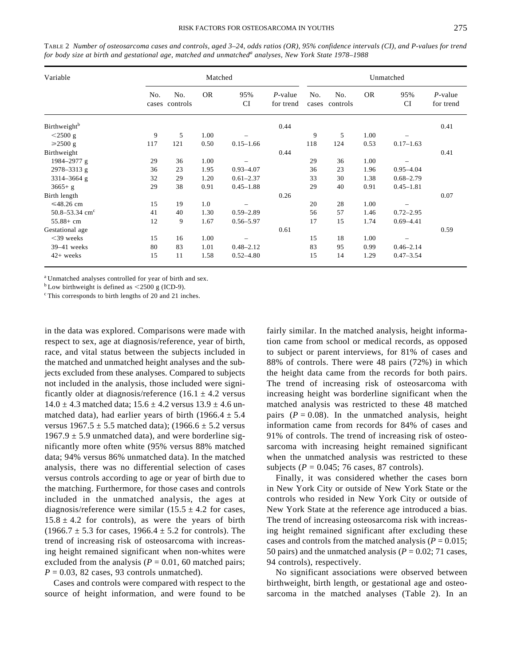| Variable                        |     | Matched               |           |                  |                         |              |                 | Unmatched |                  |                         |  |  |  |
|---------------------------------|-----|-----------------------|-----------|------------------|-------------------------|--------------|-----------------|-----------|------------------|-------------------------|--|--|--|
|                                 | No. | No.<br>cases controls | <b>OR</b> | 95%<br><b>CI</b> | $P$ -value<br>for trend | No.<br>cases | No.<br>controls | <b>OR</b> | 95%<br><b>CI</b> | $P$ -value<br>for trend |  |  |  |
| <b>Birthweight</b> <sup>b</sup> |     |                       |           |                  | 0.44                    |              |                 |           |                  | 0.41                    |  |  |  |
| $<$ 2500 g                      | 9   | 5                     | 1.00      |                  |                         | 9            | 5               | 1.00      |                  |                         |  |  |  |
| $\geq 2500$ g                   | 117 | 121                   | 0.50      | $0.15 - 1.66$    |                         | 118          | 124             | 0.53      | $0.17 - 1.63$    |                         |  |  |  |
| Birthweight                     |     |                       |           |                  | 0.44                    |              |                 |           |                  | 0.41                    |  |  |  |
| 1984-2977 g                     | 29  | 36                    | 1.00      |                  |                         | 29           | 36              | 1.00      |                  |                         |  |  |  |
| 2978-3313 g                     | 36  | 23                    | 1.95      | $0.93 - 4.07$    |                         | 36           | 23              | 1.96      | $0.95 - 4.04$    |                         |  |  |  |
| 3314-3664 g                     | 32  | 29                    | 1.20      | $0.61 - 2.37$    |                         | 33           | 30              | 1.38      | $0.68 - 2.79$    |                         |  |  |  |
| $3665 + g$                      | 29  | 38                    | 0.91      | $0.45 - 1.88$    |                         | 29           | 40              | 0.91      | $0.45 - 1.81$    |                         |  |  |  |
| Birth length                    |     |                       |           |                  | 0.26                    |              |                 |           |                  | 0.07                    |  |  |  |
| ≤48.26 cm                       | 15  | 19                    | 1.0       |                  |                         | 20           | 28              | 1.00      |                  |                         |  |  |  |
| $50.8 - 53.34$ cm <sup>c</sup>  | 41  | 40                    | 1.30      | $0.59 - 2.89$    |                         | 56           | 57              | 1.46      | $0.72 - 2.95$    |                         |  |  |  |
| $55.88 + cm$                    | 12  | 9                     | 1.67      | $0.56 - 5.97$    |                         | 17           | 15              | 1.74      | $0.69 - 4.41$    |                         |  |  |  |
| Gestational age                 |     |                       |           |                  | 0.61                    |              |                 |           |                  | 0.59                    |  |  |  |
| $<$ 39 weeks                    | 15  | 16                    | 1.00      |                  |                         | 15           | 18              | 1.00      |                  |                         |  |  |  |
| $39-41$ weeks                   | 80  | 83                    | 1.01      | $0.48 - 2.12$    |                         | 83           | 95              | 0.99      | $0.46 - 2.14$    |                         |  |  |  |
| 42+ weeks                       | 15  | 11                    | 1.58      | $0.52 - 4.80$    |                         | 15           | 14              | 1.29      | $0.47 - 3.54$    |                         |  |  |  |

TABLE 2 *Number of osteosarcoma cases and controls, aged 3–24, odds ratios (OR), 95% confidence intervals (CI), and P-values for trend for body size at birth and gestational age, matched and unmatched<sup>a</sup> analyses, New York State 1978–1988*

<sup>a</sup> Unmatched analyses controlled for year of birth and sex.

 $<sup>b</sup>$  Low birthweight is defined as <2500 g (ICD-9).</sup>

<sup>c</sup> This corresponds to birth lengths of 20 and 21 inches.

in the data was explored. Comparisons were made with respect to sex, age at diagnosis/reference, year of birth, race, and vital status between the subjects included in the matched and unmatched height analyses and the subjects excluded from these analyses. Compared to subjects not included in the analysis, those included were significantly older at diagnosis/reference  $(16.1 \pm 4.2 \text{ versus}$  $14.0 \pm 4.3$  matched data;  $15.6 \pm 4.2$  versus  $13.9 \pm 4.6$  unmatched data), had earlier years of birth (1966.4  $\pm$  5.4 versus  $1967.5 \pm 5.5$  matched data); (1966.6  $\pm$  5.2 versus 1967.9  $\pm$  5.9 unmatched data), and were borderline significantly more often white (95% versus 88% matched data; 94% versus 86% unmatched data). In the matched analysis, there was no differential selection of cases versus controls according to age or year of birth due to the matching. Furthermore, for those cases and controls included in the unmatched analysis, the ages at diagnosis/reference were similar  $(15.5 \pm 4.2$  for cases,  $15.8 \pm 4.2$  for controls), as were the years of birth  $(1966.7 \pm 5.3$  for cases,  $1966.4 \pm 5.2$  for controls). The trend of increasing risk of osteosarcoma with increasing height remained significant when non-whites were excluded from the analysis ( $P = 0.01$ , 60 matched pairs;  $P = 0.03$ , 82 cases, 93 controls unmatched).

Cases and controls were compared with respect to the source of height information, and were found to be fairly similar. In the matched analysis, height information came from school or medical records, as opposed to subject or parent interviews, for 81% of cases and 88% of controls. There were 48 pairs (72%) in which the height data came from the records for both pairs. The trend of increasing risk of osteosarcoma with increasing height was borderline significant when the matched analysis was restricted to these 48 matched pairs  $(P = 0.08)$ . In the unmatched analysis, height information came from records for 84% of cases and 91% of controls. The trend of increasing risk of osteosarcoma with increasing height remained significant when the unmatched analysis was restricted to these subjects ( $P = 0.045$ ; 76 cases, 87 controls).

Finally, it was considered whether the cases born in New York City or outside of New York State or the controls who resided in New York City or outside of New York State at the reference age introduced a bias. The trend of increasing osteosarcoma risk with increasing height remained significant after excluding these cases and controls from the matched analysis ( $P = 0.015$ ; 50 pairs) and the unmatched analysis ( $P = 0.02$ ; 71 cases, 94 controls), respectively.

No significant associations were observed between birthweight, birth length, or gestational age and osteosarcoma in the matched analyses (Table 2). In an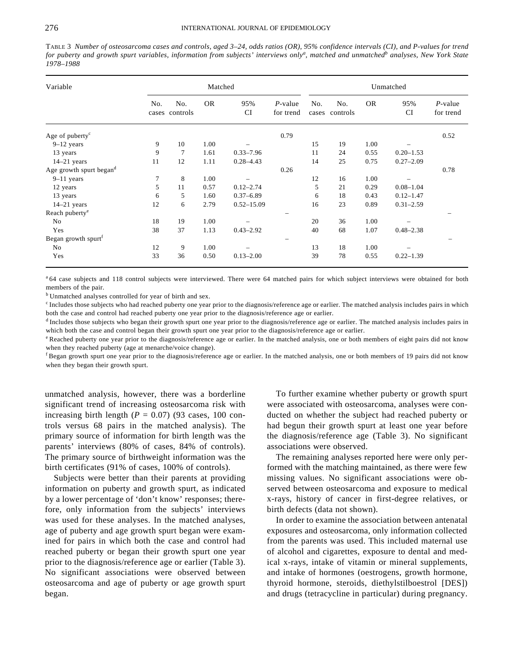TABLE 3 *Number of osteosarcoma cases and controls, aged 3–24, odds ratios (OR), 95% confidence intervals (CI), and P-values for trend for puberty and growth spurt variables, information from subjects' interviews only<sup>a</sup> , matched and unmatched<sup>b</sup> analyses, New York State 1978–1988*

| Variable                        | Matched |                       |           |                  |                         | Unmatched    |                 |           |                  |                         |
|---------------------------------|---------|-----------------------|-----------|------------------|-------------------------|--------------|-----------------|-----------|------------------|-------------------------|
|                                 | No.     | No.<br>cases controls | <b>OR</b> | 95%<br><b>CI</b> | $P$ -value<br>for trend | No.<br>cases | No.<br>controls | <b>OR</b> | 95%<br><b>CI</b> | $P$ -value<br>for trend |
| Age of puberty <sup>c</sup>     |         |                       |           |                  | 0.79                    |              |                 |           |                  | 0.52                    |
| $9-12$ years                    | 9       | 10                    | 1.00      |                  |                         | 15           | 19              | 1.00      |                  |                         |
| 13 years                        | 9       | 7                     | 1.61      | $0.33 - 7.96$    |                         | 11           | 24              | 0.55      | $0.20 - 1.53$    |                         |
| $14-21$ years                   | 11      | 12                    | 1.11      | $0.28 - 4.43$    |                         | 14           | 25              | 0.75      | $0.27 - 2.09$    |                         |
| Age growth spurt begand         |         |                       |           |                  | 0.26                    |              |                 |           |                  | 0.78                    |
| $9-11$ years                    | 7       | 8                     | 1.00      |                  |                         | 12           | 16              | 1.00      |                  |                         |
| 12 years                        | 5       | 11                    | 0.57      | $0.12 - 2.74$    |                         | 5            | 21              | 0.29      | $0.08 - 1.04$    |                         |
| 13 years                        | 6       | 5                     | 1.60      | $0.37 - 6.89$    |                         | 6            | 18              | 0.43      | $0.12 - 1.47$    |                         |
| $14-21$ years                   | 12      | 6                     | 2.79      | $0.52 - 15.09$   |                         | 16           | 23              | 0.89      | $0.31 - 2.59$    |                         |
| Reach puberty <sup>e</sup>      |         |                       |           |                  |                         |              |                 |           |                  |                         |
| No                              | 18      | 19                    | 1.00      |                  |                         | 20           | 36              | 1.00      |                  |                         |
| Yes                             | 38      | 37                    | 1.13      | $0.43 - 2.92$    |                         | 40           | 68              | 1.07      | $0.48 - 2.38$    |                         |
| Began growth spurt <sup>f</sup> |         |                       |           |                  |                         |              |                 |           |                  |                         |
| No                              | 12      | 9                     | 1.00      |                  |                         | 13           | 18              | 1.00      |                  |                         |
| Yes                             | 33      | 36                    | 0.50      | $0.13 - 2.00$    |                         | 39           | 78              | 0.55      | $0.22 - 1.39$    |                         |

<sup>a</sup> 64 case subjects and 118 control subjects were interviewed. There were 64 matched pairs for which subject interviews were obtained for both members of the pair.

<sup>b</sup> Unmatched analyses controlled for year of birth and sex.

 $c$  Includes those subjects who had reached puberty one year prior to the diagnosis/reference age or earlier. The matched analysis includes pairs in which both the case and control had reached puberty one year prior to the diagnosis/reference age or earlier.

 $<sup>d</sup>$  Includes those subjects who began their growth spurt one year prior to the diagnosis/reference age or earlier. The matched analysis includes pairs in</sup> which both the case and control began their growth spurt one year prior to the diagnosis/reference age or earlier.

<sup>e</sup> Reached puberty one year prior to the diagnosis/reference age or earlier. In the matched analysis, one or both members of eight pairs did not know when they reached puberty (age at menarche/voice change).

 $f_{\text{Began growth spurt one year prior to the diagnosis/reference age or earlier.}$  In the matched analysis, one or both members of 19 pairs did not know when they began their growth spurt.

unmatched analysis, however, there was a borderline significant trend of increasing osteosarcoma risk with increasing birth length  $(P = 0.07)$  (93 cases, 100 controls versus 68 pairs in the matched analysis). The primary source of information for birth length was the parents' interviews (80% of cases, 84% of controls). The primary source of birthweight information was the birth certificates (91% of cases, 100% of controls).

Subjects were better than their parents at providing information on puberty and growth spurt, as indicated by a lower percentage of 'don't know' responses; therefore, only information from the subjects' interviews was used for these analyses. In the matched analyses, age of puberty and age growth spurt began were examined for pairs in which both the case and control had reached puberty or began their growth spurt one year prior to the diagnosis/reference age or earlier (Table 3). No significant associations were observed between osteosarcoma and age of puberty or age growth spurt began.

To further examine whether puberty or growth spurt were associated with osteosarcoma, analyses were conducted on whether the subject had reached puberty or had begun their growth spurt at least one year before the diagnosis/reference age (Table 3). No significant associations were observed.

The remaining analyses reported here were only performed with the matching maintained, as there were few missing values. No significant associations were observed between osteosarcoma and exposure to medical x-rays, history of cancer in first-degree relatives, or birth defects (data not shown).

In order to examine the association between antenatal exposures and osteosarcoma, only information collected from the parents was used. This included maternal use of alcohol and cigarettes, exposure to dental and medical x-rays, intake of vitamin or mineral supplements, and intake of hormones (oestrogens, growth hormone, thyroid hormone, steroids, diethylstilboestrol [DES]) and drugs (tetracycline in particular) during pregnancy.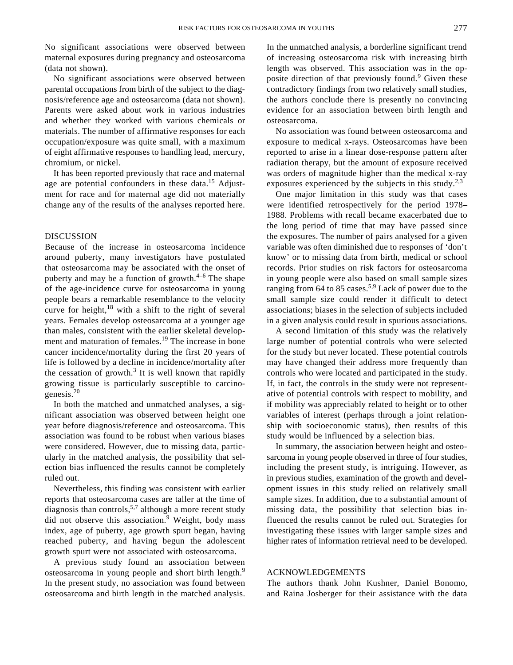No significant associations were observed between maternal exposures during pregnancy and osteosarcoma (data not shown).

No significant associations were observed between parental occupations from birth of the subject to the diagnosis/reference age and osteosarcoma (data not shown). Parents were asked about work in various industries and whether they worked with various chemicals or materials. The number of affirmative responses for each occupation/exposure was quite small, with a maximum of eight affirmative responses to handling lead, mercury, chromium, or nickel.

It has been reported previously that race and maternal age are potential confounders in these data.<sup>15</sup> Adjustment for race and for maternal age did not materially change any of the results of the analyses reported here.

#### DISCUSSION

Because of the increase in osteosarcoma incidence around puberty, many investigators have postulated that osteosarcoma may be associated with the onset of puberty and may be a function of growth. $4-6$  The shape of the age-incidence curve for osteosarcoma in young people bears a remarkable resemblance to the velocity curve for height, $18$  with a shift to the right of several years. Females develop osteosarcoma at a younger age than males, consistent with the earlier skeletal development and maturation of females.<sup>19</sup> The increase in bone cancer incidence/mortality during the first 20 years of life is followed by a decline in incidence/mortality after the cessation of growth.<sup>3</sup> It is well known that rapidly growing tissue is particularly susceptible to carcinogenesis.<sup>20</sup>

In both the matched and unmatched analyses, a significant association was observed between height one year before diagnosis/reference and osteosarcoma. This association was found to be robust when various biases were considered. However, due to missing data, particularly in the matched analysis, the possibility that selection bias influenced the results cannot be completely ruled out.

Nevertheless, this finding was consistent with earlier reports that osteosarcoma cases are taller at the time of diagnosis than controls,<sup>5,7</sup> although a more recent study did not observe this association.<sup>9</sup> Weight, body mass index, age of puberty, age growth spurt began, having reached puberty, and having begun the adolescent growth spurt were not associated with osteosarcoma.

A previous study found an association between osteosarcoma in young people and short birth length.<sup>9</sup> In the present study, no association was found between osteosarcoma and birth length in the matched analysis. In the unmatched analysis, a borderline significant trend of increasing osteosarcoma risk with increasing birth length was observed. This association was in the opposite direction of that previously found.<sup>9</sup> Given these contradictory findings from two relatively small studies, the authors conclude there is presently no convincing evidence for an association between birth length and osteosarcoma.

No association was found between osteosarcoma and exposure to medical x-rays. Osteosarcomas have been reported to arise in a linear dose-response pattern after radiation therapy, but the amount of exposure received was orders of magnitude higher than the medical x-ray exposures experienced by the subjects in this study.<sup>2,3</sup>

One major limitation in this study was that cases were identified retrospectively for the period 1978– 1988. Problems with recall became exacerbated due to the long period of time that may have passed since the exposures. The number of pairs analysed for a given variable was often diminished due to responses of 'don't know' or to missing data from birth, medical or school records. Prior studies on risk factors for osteosarcoma in young people were also based on small sample sizes ranging from 64 to 85 cases.5,9 Lack of power due to the small sample size could render it difficult to detect associations; biases in the selection of subjects included in a given analysis could result in spurious associations.

A second limitation of this study was the relatively large number of potential controls who were selected for the study but never located. These potential controls may have changed their address more frequently than controls who were located and participated in the study. If, in fact, the controls in the study were not representative of potential controls with respect to mobility, and if mobility was appreciably related to height or to other variables of interest (perhaps through a joint relationship with socioeconomic status), then results of this study would be influenced by a selection bias.

In summary, the association between height and osteosarcoma in young people observed in three of four studies, including the present study, is intriguing. However, as in previous studies, examination of the growth and development issues in this study relied on relatively small sample sizes. In addition, due to a substantial amount of missing data, the possibility that selection bias influenced the results cannot be ruled out. Strategies for investigating these issues with larger sample sizes and higher rates of information retrieval need to be developed.

# ACKNOWLEDGEMENTS

The authors thank John Kushner, Daniel Bonomo, and Raina Josberger for their assistance with the data